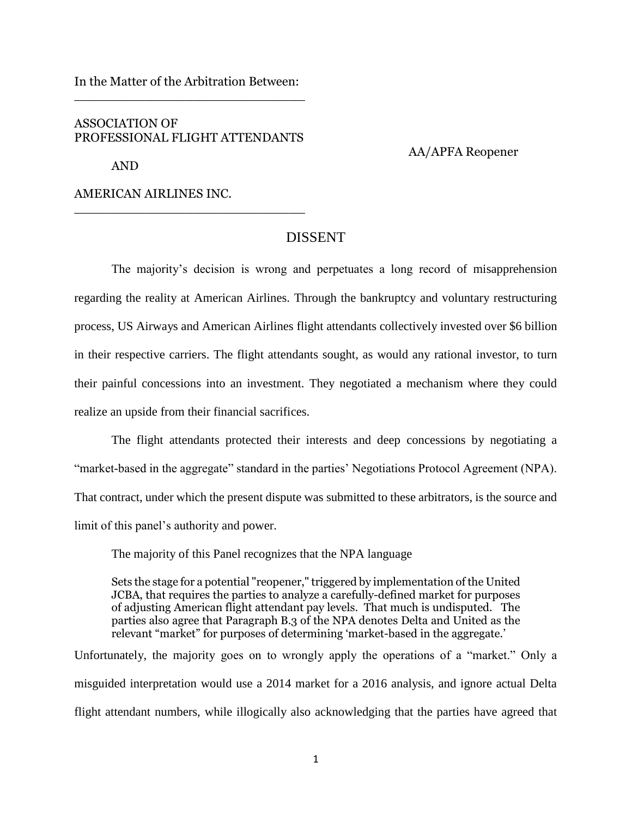In the Matter of the Arbitration Between: \_\_\_\_\_\_\_\_\_\_\_\_\_\_\_\_\_\_\_\_\_\_\_\_\_\_\_\_\_

## ASSOCIATION OF PROFESSIONAL FLIGHT ATTENDANTS

\_\_\_\_\_\_\_\_\_\_\_\_\_\_\_\_\_\_\_\_\_\_\_\_\_\_\_\_\_

AND

AA/APFA Reopener

AMERICAN AIRLINES INC.

## DISSENT

The majority's decision is wrong and perpetuates a long record of misapprehension regarding the reality at American Airlines. Through the bankruptcy and voluntary restructuring process, US Airways and American Airlines flight attendants collectively invested over \$6 billion in their respective carriers. The flight attendants sought, as would any rational investor, to turn their painful concessions into an investment. They negotiated a mechanism where they could realize an upside from their financial sacrifices.

The flight attendants protected their interests and deep concessions by negotiating a "market-based in the aggregate" standard in the parties' Negotiations Protocol Agreement (NPA). That contract, under which the present dispute was submitted to these arbitrators, is the source and limit of this panel's authority and power.

The majority of this Panel recognizes that the NPA language

Sets the stage for a potential "reopener," triggered by implementation of the United JCBA, that requires the parties to analyze a carefully-defined market for purposes of adjusting American flight attendant pay levels. That much is undisputed. The parties also agree that Paragraph B.3 of the NPA denotes Delta and United as the relevant "market" for purposes of determining 'market-based in the aggregate.'

Unfortunately, the majority goes on to wrongly apply the operations of a "market." Only a misguided interpretation would use a 2014 market for a 2016 analysis, and ignore actual Delta flight attendant numbers, while illogically also acknowledging that the parties have agreed that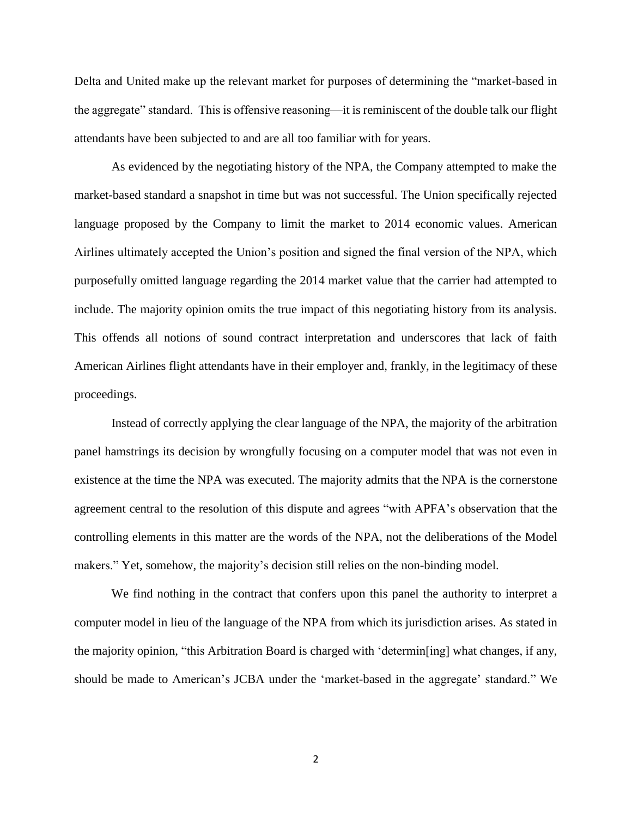Delta and United make up the relevant market for purposes of determining the "market-based in the aggregate" standard. This is offensive reasoning—it is reminiscent of the double talk our flight attendants have been subjected to and are all too familiar with for years.

As evidenced by the negotiating history of the NPA, the Company attempted to make the market-based standard a snapshot in time but was not successful. The Union specifically rejected language proposed by the Company to limit the market to 2014 economic values. American Airlines ultimately accepted the Union's position and signed the final version of the NPA, which purposefully omitted language regarding the 2014 market value that the carrier had attempted to include. The majority opinion omits the true impact of this negotiating history from its analysis. This offends all notions of sound contract interpretation and underscores that lack of faith American Airlines flight attendants have in their employer and, frankly, in the legitimacy of these proceedings.

Instead of correctly applying the clear language of the NPA, the majority of the arbitration panel hamstrings its decision by wrongfully focusing on a computer model that was not even in existence at the time the NPA was executed. The majority admits that the NPA is the cornerstone agreement central to the resolution of this dispute and agrees "with APFA's observation that the controlling elements in this matter are the words of the NPA, not the deliberations of the Model makers." Yet, somehow, the majority's decision still relies on the non-binding model.

We find nothing in the contract that confers upon this panel the authority to interpret a computer model in lieu of the language of the NPA from which its jurisdiction arises. As stated in the majority opinion, "this Arbitration Board is charged with 'determin[ing] what changes, if any, should be made to American's JCBA under the 'market-based in the aggregate' standard." We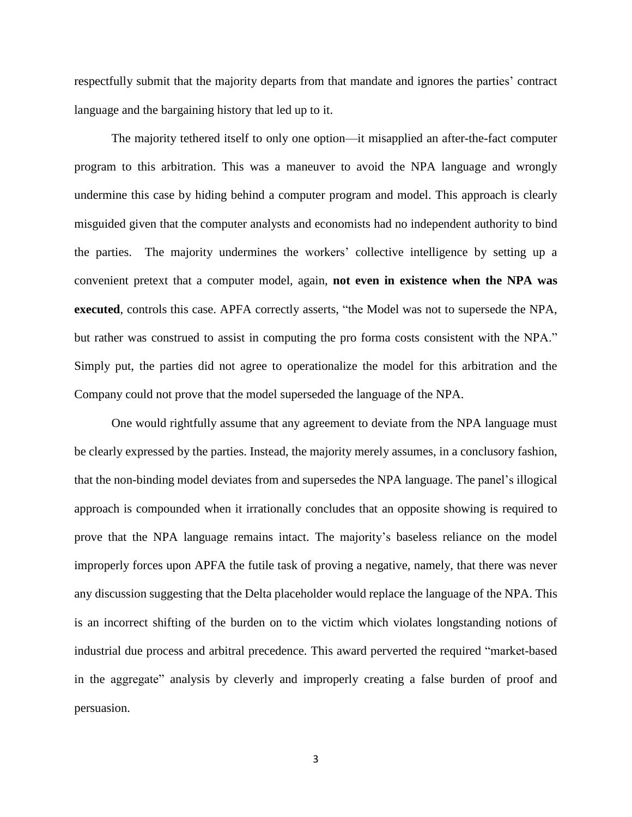respectfully submit that the majority departs from that mandate and ignores the parties' contract language and the bargaining history that led up to it.

The majority tethered itself to only one option—it misapplied an after-the-fact computer program to this arbitration. This was a maneuver to avoid the NPA language and wrongly undermine this case by hiding behind a computer program and model. This approach is clearly misguided given that the computer analysts and economists had no independent authority to bind the parties. The majority undermines the workers' collective intelligence by setting up a convenient pretext that a computer model, again, **not even in existence when the NPA was executed**, controls this case. APFA correctly asserts, "the Model was not to supersede the NPA, but rather was construed to assist in computing the pro forma costs consistent with the NPA." Simply put, the parties did not agree to operationalize the model for this arbitration and the Company could not prove that the model superseded the language of the NPA.

One would rightfully assume that any agreement to deviate from the NPA language must be clearly expressed by the parties. Instead, the majority merely assumes, in a conclusory fashion, that the non-binding model deviates from and supersedes the NPA language. The panel's illogical approach is compounded when it irrationally concludes that an opposite showing is required to prove that the NPA language remains intact. The majority's baseless reliance on the model improperly forces upon APFA the futile task of proving a negative, namely, that there was never any discussion suggesting that the Delta placeholder would replace the language of the NPA. This is an incorrect shifting of the burden on to the victim which violates longstanding notions of industrial due process and arbitral precedence. This award perverted the required "market-based in the aggregate" analysis by cleverly and improperly creating a false burden of proof and persuasion.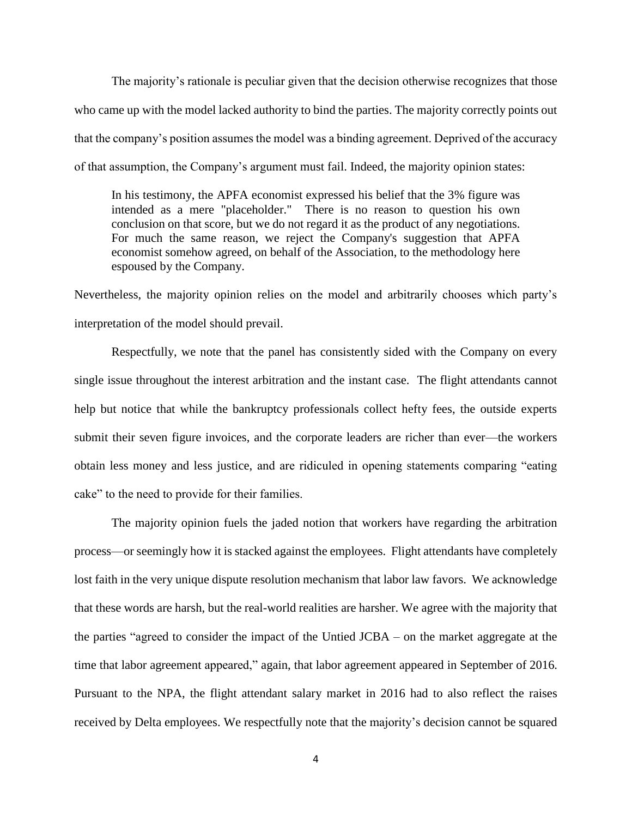The majority's rationale is peculiar given that the decision otherwise recognizes that those who came up with the model lacked authority to bind the parties. The majority correctly points out that the company's position assumes the model was a binding agreement. Deprived of the accuracy of that assumption, the Company's argument must fail. Indeed, the majority opinion states:

In his testimony, the APFA economist expressed his belief that the 3% figure was intended as a mere "placeholder." There is no reason to question his own conclusion on that score, but we do not regard it as the product of any negotiations. For much the same reason, we reject the Company's suggestion that APFA economist somehow agreed, on behalf of the Association, to the methodology here espoused by the Company.

Nevertheless, the majority opinion relies on the model and arbitrarily chooses which party's interpretation of the model should prevail.

Respectfully, we note that the panel has consistently sided with the Company on every single issue throughout the interest arbitration and the instant case. The flight attendants cannot help but notice that while the bankruptcy professionals collect hefty fees, the outside experts submit their seven figure invoices, and the corporate leaders are richer than ever—the workers obtain less money and less justice, and are ridiculed in opening statements comparing "eating cake" to the need to provide for their families.

The majority opinion fuels the jaded notion that workers have regarding the arbitration process—or seemingly how it is stacked against the employees. Flight attendants have completely lost faith in the very unique dispute resolution mechanism that labor law favors. We acknowledge that these words are harsh, but the real-world realities are harsher. We agree with the majority that the parties "agreed to consider the impact of the Untied JCBA – on the market aggregate at the time that labor agreement appeared," again, that labor agreement appeared in September of 2016. Pursuant to the NPA, the flight attendant salary market in 2016 had to also reflect the raises received by Delta employees. We respectfully note that the majority's decision cannot be squared